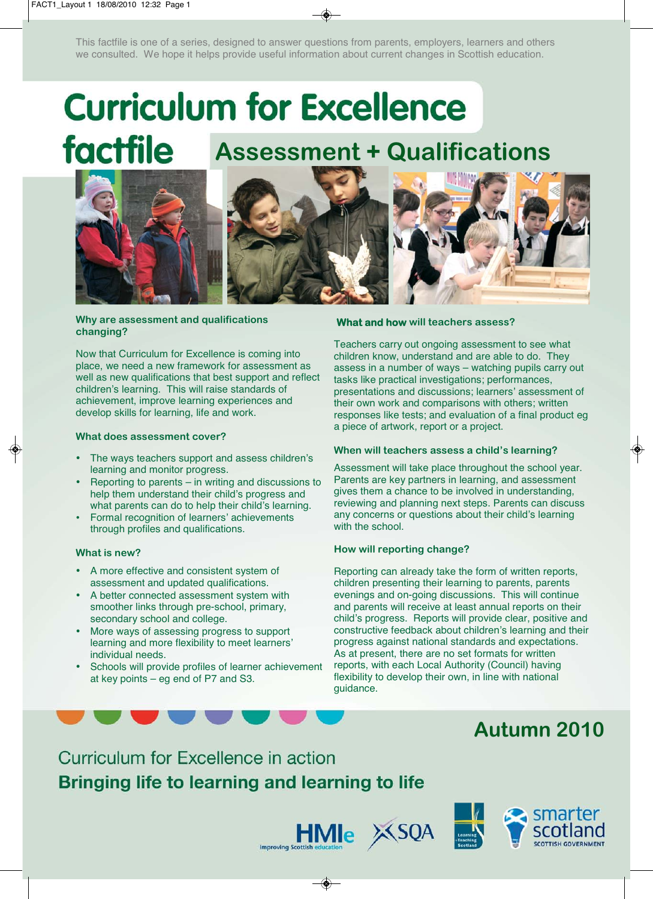This factfile is one of a series, designed to answer questions from parents, employers, learners and others we consulted. We hope it helps provide useful information about current changes in Scottish education.

# **Curriculum for Excellence** factfile **Assessment + Qualifications**





**Why are assessment and qualifications changing?** 

Now that Curriculum for Excellence is coming into place, we need a new framework for assessment as well as new qualifications that best support and reflect children's learning. This will raise standards of achievement, improve learning experiences and develop skills for learning, life and work.

#### **What does assessment cover?**

- The ways teachers support and assess children's learning and monitor progress.
- Reporting to parents  $-$  in writing and discussions to help them understand their child's progress and what parents can do to help their child's learning.
- • Formal recognition of learners' achievements through profiles and qualifications.

#### **What is new?**

- A more effective and consistent system of assessment and updated qualifications.
- A better connected assessment system with smoother links through pre-school, primary, secondary school and college.
- More ways of assessing progress to support learning and more flexibility to meet learners' individual needs.
- Schools will provide profiles of learner achievement at key points – eg end of P7 and S3.

#### **What and how will teachers assess?**

Teachers carry out ongoing assessment to see what children know, understand and are able to do. They assess in a number of ways – watching pupils carry out tasks like practical investigations; performances, presentations and discussions; learners' assessment of their own work and comparisons with others; written responses like tests; and evaluation of a final product eg a piece of artwork, report or a project.

#### **When will teachers assess a child's learning?**

Assessment will take place throughout the school year. Parents are key partners in learning, and assessment gives them a chance to be involved in understanding, reviewing and planning next steps. Parents can discuss any concerns or questions about their child's learning with the school.

#### **How will reporting change?**

Reporting can already take the form of written reports, children presenting their learning to parents, parents evenings and on-going discussions. This will continue and parents will receive at least annual reports on their child's progress. Reports will provide clear, positive and constructive feedback about children's learning and their progress against national standards and expectations. As at present, there are no set formats for written reports, with each Local Authority (Council) having flexibility to develop their own, in line with national guidance.

# **Autumn 2010**

Curriculum for Excellence in action Bringing life to learning and learning to life